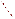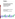

# **Environmental Technology Verification Program**  Advanced Monitoring Systems Center

# Generic Verification Protocol for On-Board Vehicle Emission Monitors

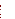#### **GENERIC VERIFICATION PROTOCOL**

**FOR** 

## **ON-BOARD VEHICLE EMISSION MONITORS**

**August 2002** 

**Prepared by** 

**Battelle 505 King Avenue Columbus, OH 43201-2693**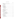## **TABLE OF CONTENTS**

| 1. |                |  |
|----|----------------|--|
|    | 1.1            |  |
|    | 1.2            |  |
|    | 1.3            |  |
| 2. |                |  |
| 3. |                |  |
|    | 3.1            |  |
|    | 3.2            |  |
|    | 3.3            |  |
|    | 3.4            |  |
|    | 3.5            |  |
|    | 3.5.1          |  |
|    | 3.5.2          |  |
|    | 3.5.3          |  |
|    | 3.5.4          |  |
| 4. |                |  |
|    | 4.1            |  |
|    | 4.2            |  |
|    | 4.3            |  |
|    | 4.4            |  |
| 5. |                |  |
|    | 5.1            |  |
|    | 5.2            |  |
|    | 5.2.1          |  |
|    | 5.2.2          |  |
|    | 5.2.3          |  |
|    | 5.2.4          |  |
|    | 5.3 Reporting. |  |
|    |                |  |
| 6. |                |  |
|    | 6.1            |  |
|    | 6.2            |  |
|    | 6.2.1          |  |
|    | 6.2.2          |  |
|    | 6.2.3          |  |
|    |                |  |

|--|

| 3.1 |                     |
|-----|---------------------|
| 3.2 |                     |
| 3.3 |                     |
| 3.4 |                     |
| 3.5 |                     |
|     | 3.5.1               |
|     | 3.5.2               |
|     | 3.5.3<br><b>EPA</b> |
|     | 3.5.4               |
|     |                     |
| 4.1 |                     |
| 4.2 |                     |
| 4.3 |                     |
| 4.4 |                     |
|     |                     |
| 5.1 |                     |
| 5.2 |                     |
|     | 5.2.1               |
|     | 5.2.2               |
|     | 5.2.3               |
|     | 5.2.4               |
| 5.3 |                     |
| 5.4 |                     |
|     |                     |
| 6.1 |                     |
|     |                     |
| 6.2 | 6.2.1               |
|     |                     |
|     | 6.2.2<br>6.2.3      |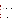# **TABLE OF CONTENTS (Continued)**

|  | Page |
|--|------|
|  |      |
|  |      |

# **List of Figures**

| Figure 1. Organization Chart for On-Board Vehicle Emission Monitor Verification Test  8 |  |  |  |  |
|-----------------------------------------------------------------------------------------|--|--|--|--|
|                                                                                         |  |  |  |  |

# **List of Tables**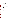## **ACRONYMS**

| <b>AMS</b>      | <b>Advanced Monitoring Systems</b>            |
|-----------------|-----------------------------------------------|
| <b>CFR</b>      | Code of Federal Regulations                   |
| CH <sub>4</sub> | methane                                       |
| CL              | chemiluminescence                             |
| CO              | carbon monoxide                               |
| CO <sub>2</sub> | carbon dioxide                                |
| <b>EPA</b>      | United States Environmental Protection Agency |
| <b>ETV</b>      | <b>Environmental Technology Verification</b>  |
| <b>FTP</b>      | <b>Federal Test Procedure</b>                 |
| GC              | gas chromatography                            |
| g/mi            | grams per mile                                |
| <b>FID</b>      | flame ionization detector                     |
| <b>LDV</b>      | light-duty vehicle                            |
| <b>LRB</b>      | laboratory record book                        |
| mph             | miles per hour                                |
| <b>NDIR</b>     | non-dispersive infrared spectrometry          |
| <b>NMHC</b>     | non-methane hydrocarbons                      |
| NO <sub>r</sub> | nitrogen oxide                                |
| <b>OBD</b>      | on-board diagnostic                           |
| <b>OEM</b>      | on-board emission monitor                     |
| О,              | oxygen                                        |
| QA              | quality assurance                             |
| QC              | quality control                               |
| <b>QMP</b>      | quality management plan                       |
| rpm             | revolutions per minute                        |
| <b>THC</b>      | total hydrocarbons                            |
| <b>TSA</b>      | technical systems audit                       |

iv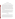#### **1 INTRODUCTION**

#### **1.1 Environmental Technology Verification Background**

This protocol provides generic procedures for implementing a verification test of monitors that continuously measure the concentration of various gaseous components of vehicle emissions under normal operating conditions (i.e., on-road driving) and may provide quantitative vehicle emissions data (e.g., g/mi emission rates) based on live engine data scanning. The verification test is conducted under the auspices of the U.S. Environmental Protection Agency (EPA) through its Environmental Technology Verification (ETV) program. The purpose of the ETV program is to provide objective and quality-assured performance data on environmental technologies, so that users, developers, regulators, and consultants can make informed decisions about these technologies. ETV verification does not imply approval, certification, or designation by EPA, but rather provides a quantitative assessment of the performance of a technology under specified test conditions.

The verification tests are coordinated by Battelle, of Columbus, Ohio, which is EPA's partner in the ETV Advanced Monitoring Systems (AMS) Center. The scope of the AMS Center covers verification of monitoring technologies for contaminants and natural species in air, water, and soil. In performing verification tests, Battelle follows the procedures specified in this protocol and complies with the data quality requirements in the "Quality Management Plan for the ETV Advanced Monitoring Systems Pilot" (QMP).<sup>(1)</sup>

#### **1.2 Test Objective**

The purpose of verification tests of on-board vehicle emission monitors (OEMs) is to evaluate their performance under realistic operating conditions. Specifically, these monitors are evaluated by comparisons with chassis dynamometer test results to assess accuracy and reproducibility and through operation during normal on-road driving to assess performance under realistic conditions. The effect of temperature on the performance of the OEMs is assessed by varying the dynamometer cell conditions under which selected tests are performed. The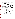unit-to-unit reproducibility of the OEM is evaluated from comparisons between duplicate monitors during both the dynamometer tests and the on-road driving tests. General performance characteristics of these OEMs, such as reliability and ease of use, also are evaluated through observations by the test personnel.

#### **1.3 Test Applicability**

This generic protocol is applicable to the verification testing of vehicle emission monitors that can be operated on board a vehicle under normal driving conditions. The OEMs to be tested are capable of providing real-time concentration measurements of several key pollutants in vehicle exhaust and, in some cases, quantitative emission rates (e.g., g/mi), as calculated from the concentration measurements and live engine parameter data. In accordance with the intent of the ETV program, the OEMs to be tested are commercially available and not developmental products or prototypes.

## **2 TECHNOLOGY DESCRIPTION**

This document details the procedures for the verification testing of technologies that can be mounted in a variety of light- or heavy-duty vehicles and are capable of monitoring emissions from these vehicles under routine driving conditions. These OEMs are portable, weighing up to approximately 60 pounds, and can be installed in the passenger seat or trunk of most vehicles without modifying the vehicle. The OEMs can measure exhaust emissions of vehicles during their regular operation. In some cases, the OEMs also simultaneously collect live engine data from vehicles equipped with on-board diagnostic (OBD) ports to monitor fuel consumption, as well as operating characteristics of the vehicles. These OEMs use the live engine data to determine real-time emission rates.

The basic component of the OEMs to be tested in a verification test is a multi-gas analyzer for measuring the composition of the vehicle exhaust. Additionally, these OEMs may include other components such as a laptop computer to collect, process, and store data or an engine diagnostic scanner to monitor engine data. For those OEMs with engine scanning capabilities, the computer uses live engine data to compute exhaust mass flow, which, when

2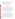multiplied by the measured concentrations of exhaust gases, yields grams per second data. Grams per mile emissions are then calculated from the vehicle speed and time data.

The primary components of the OEMs are contained in a single case, which can be installed in the passenger seat of most domestic cars and trucks. The OEMs are designed for automatic operation so that no user attention is needed during operation.

## **3 VERIFICATION APPROACH**

#### **3.1 Scope of Testing**

The objective of the verification test derived from this generic protocol is to evaluate the performance of OEMs under realistic operating conditions. It is not the intent of this test to determine emissions data for the vehicles used in the test. Rather, the intent is to establish the performance capabilities of these OEMs under normal driving conditions (i.e., on the road), as well as in standard vehicle test cycles using dynamometers. To achieve this goal, this verification test involves two phases. The first phase of testing involves comparing the OEMs and the current standard for vehicle emissions monitoring, namely dynamometer testing. The second phase of verification involves performance evaluation of the OEMs during on-road testing. In all tests, two duplicate units of each OEM are operated side by side.

#### **3.2 Experimental Design**

This section describes the experimental design for an OEM verification test. The approach is based on the primary objectives of this test: to assess the overall accuracy (i.e., bias and precision) of an OEM relative to a chassis dynamometer and to assess OEM performance under real-world conditions. The approach to the verification test is summarized below, and the statistical methodology for establishing bias and precision are described in Section 6.2.

For this test, three gasoline-powered light-duty vehicles (LDV) shall be recruited by the test facility for both chassis dynamometer testing and road testing. The vehicles shall be chosen to include current models of vehicles that are popular in the on-road fleet. Furthermore, the vehicles shall be chosen by the test facility to include a wide range of emission rates and engine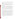sizes (i.e., 4, 6, 8 cylinder). The vehicles also shall be chosen to assure that both the mass flow and speed density methods used by the engine diagnostic system to determine exhaust mass are included in the test.

To establish intra-method precision (i.e., unit-to-unit relative error), it is necessary to include duplicate OEMs as part of the study design (see Section 6.2). This approach is analogous to the use of collocated monitors for establishing the precision of ambient air monitoring sampling and analytical techniques. Duplicate OEMs are operated in both phases of the verification test.

In the first phase of the verification test, the vehicles are operated on a chassis dynamometer, and the vehicle emissions are monitored by both the OEMs being verified and by laboratory reference methods. Given the goal of evaluating OEM performance under real-world conditions, it is important to perform an array of dynamometer test runs. Consequently, the vehicles are each operated on two test cycles: the Federal Test Procedure  $(FTP)$ ,  $(2)$  and the  $US06<sup>(2)</sup>$  cycle. The use of different vehicle emission rates, along with the different test cycles, provides a range of real-world conditions under which bias and precision results are to be obtained.

Three runs under each test scenario (i.e., under each test cycle and vehicle combination) are conducted. There are two important reasons for including multiple runs in the design of the test. First, multiple runs provide information on test-to-test repeatability. Such data are essential for establishing the reliability of the reference method results, which are treated as the "truth" or "gold standard" to which OEM results are to be compared. Second, triplicate runs allow for statistically testing whether or not interactions between vehicle type and test cycle have an impact on observed bias and precision. For example, it may be the case that levels of bias and/or precision differ from vehicle to vehicle, but only when the FTP test cycle is run and not the US06. As another example, one vehicle type may show consistent bias and precision across both test cycles, while the other two vary in bias and precision depending on the test cycle. Without multiple runs, the statistical significance of such interaction cannot be determined.

 A summary of the dynamometer runs that are performed in this verification test is provided in Table 1.

4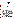| Test cycle       | Vehicle 1 | <b>Vehicle 2</b> | <b>Vehicle 3</b> | <b>Total</b> |
|------------------|-----------|------------------|------------------|--------------|
| FTP <sup>a</sup> |           |                  |                  |              |
| <b>US06</b>      |           |                  |                  |              |
| <b>Total</b>     |           |                  |                  | 18           |

**Table 1. Summary of Chassis Dynamometer Runs** 

<sup>a</sup> FTP produces multiple bags, so more than 18 observations will be obtained for bag-level calculations.

After the dynamometer runs shown in Table 1 are completed, a series of four US06 test cycles is performed on the vehicle with mid-range emissions. In this series, a single US06 dynamometer run is performed with the vehicle accessories off at each of three different temperatures (i.e.,  $30^{\circ}$ F,  $75^{\circ}$ F, and  $100^{\circ}$ F). The fourth US06 run is performed at  $100^{\circ}$ F with the vehicle's air conditioner operating at maximum capacity to assess whether use of the vehicle's accessories influences the performance of the OEMs.

For all the dynamometer runs, the test facility shall measure vehicle emissions by the reference methods described in Section 3.3. The results obtained from these reference methods are used as the basis of comparison for establishing bias. During each dynamometer run, the vehicle emissions are monitored in real time by the reference methods and by the duplicate OEMs, for total hydrocarbons (THCs), carbon monoxide (CO), carbon dioxide  $(CO<sub>2</sub>)$ , and nitrogen oxides  $(NO_x)$ . Methane is monitored by the reference method at the bag level and used to determine non-methane hydrocarbons (NMHCs) as needed. Bias and precision are determined independently for each of these analytes. The performance of the two duplicate OEMs is based on comparisons between the test level results (e.g., average concentration or g/mi) from each of the duplicate OEMs and the results from the reference methods. These comparisons are made primarily on the test level, but also on the per-bag level (e.g., the three bags comprising the FTP schedule). Graphic comparisons of the second-by-second data are used as a secondary comparison to illustrate the transient response of the OEMs.

In the second phase, duplicate on-board monitors shall be installed in a test vehicle; and the vehicle shall be driven over two different routes for at least 15 minutes each. The two routes shall be different in nature with one including predominantly stop-and-go traffic and the other including predominantly sustained high-speed traffic. While the test vehicle is driven over these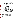two routes, second-by-second data are collected by the duplicate on-board emission monitors. Results from the duplicate monitors are compared to establish the unit-to-unit reproducibility of the OEMs being verified.

Furthermore, general issues of performance, including reliability and ease of use, are assessed based on observations recorded during the verification test and reported for the OEMs, in addition to the overall cost of the monitors.

#### **3.3 Reference Methods**

During a verification test, various analytical methods shall be used by the test facility to measure the concentrations of THC, methane  $(CH_4)$ , CO,  $CO_2$ , and NO<sub>x</sub> in vehicle emissions. THC concentrations are measured using a flame ionization detector (FID),  $CH<sub>4</sub>$  is determined using gas chromatography (GC) with FID, CO and  $CO<sub>2</sub>$  concentrations are determined by nondispersive infrared spectroscopy (NDIR), and  $NO<sub>x</sub>$  concentrations will be measured using a chemiluminescence (CL) analyzer. These methods are described in 40 Code of Federal Regulations (CFR) Part  $86^{(2)}$  and shall be the reference methods for this verification test. Results from these methods serve as the basis of comparison for evaluating the accuracy of the on-board emission monitor. These analyses, with the exception of  $\text{CH}_4$ , are performed both in real time and on collected bag samples.  $CH<sub>4</sub>$  is determined only by analysis of collected bag samples. NMHC concentrations are deduced from the difference between the bag sample THC and  $CH<sub>4</sub>$ readings.

#### **3.4 Test Facility**

The test facility to be used for a verification test of on-board vehicle emission monitors should be a recognized emissions testing laboratory, with facilities appropriate for chassis dynamometer testing according to 40 CFR Part 86. The test facility shall have standard operating procedures in place for the dynamometer runs and laboratory analyses to be performed in this verification and shall have trained personnel capable of performing these activities according to those standard procedures. Documentation of the staff qualifications shall be provided to Battelle in the form of training records prior to test initiation.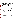#### **3.5 Roles and Responsibilities**

The verification test is coordinated and supervised by Battelle personnel and conducted at a recognized test facility with documented quality assurance (QA) procedures in place. Staff from the test facility participate in this test by operating the dynamometer and providing the reference measurements. Vendor representatives install, maintain, and operate their respective technologies throughout the test. QA oversight is provided by the Battelle Quality Manager, and, at his/her discretion, the EPA ETV Quality Manager. The chart in Figure 1 shows the organization of responsibilities for Battelle, the vendor companies, EPA, and the test facility. Specific responsibilities are detailed below.

#### **3.5.1 Battelle**

The Verification Test Coordinator has the overall responsibility for ensuring that the technical, schedule, and cost goals established for the verification test are met. The Verification Test Coordinator shall

- Prepare a draft test/QA plan, verification reports, and verification statements
- Revise the draft test/QA plan, verification reports, and verification statements in response to the reviewers' comments
- Coordinate testing at the testing site
- Ensure that all quality procedures specified in the test/QA plan and in the QMP are followed
- Respond to any issues raised in assessment reports and audits, including instituting corrective action as necessary
- Serve as the primary point of contact for vendor and test facility representatives
- • Establish a budget for the verification test and monitor staff effort to ensure that the budget is not exceeded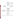

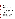US EPA ARCHIVE DOCUMENT

- Coordinate distribution of the final test/OA plan, verification reports, and verification statements
- Ensure that confidentiality of vendor information is maintained.

 The Verification Testing Leader for the AMS Center provides technical guidance and oversees various stages of the verification test and shall

- Support the Verification Test Coordinator in preparing the test/QA plan and organizing the testing
- Review the draft test/QA plan
- Review the draft verification reports and statements
- Ensure that confidentiality of vendor information is maintained.

Battelle's AMS Center Manager shall

- Review the draft test/QA plan
- Review the draft verification reports and statements
- Ensure that necessary Battelle resources, including staff and facilities, are committed to the verification test
- Ensure that vendor confidentiality is maintained
- • Support the Verification Test Coordinator in responding to any issues raised in assessment reports and audits
- Maintain communication with EPA's AMS Center and ETV Quality Managers.

Battelle shall provide a Staff Statistician, who supports statistical and data analysis activities for this verification test. As needed, the Staff Statistician shall

- Assist in converting verification data from electronic spreadsheet format to appropriate file format for statistical evaluation
- • Support the Verification Test Coordinator in performing statistical calculations specified in the test/QA plan on the verification data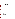- Provide results of statistical calculations and associated discussion for the verification reports
- Support the Verification Test Coordinator in responding to any issues raised in assessment reports and audits related to statistics and data reduction.

Battelle's Quality Manager for this verification test shall

- Review the draft test/QA plan
- Conduct a technical systems audit (TSA) once during the verification test
- Audit at least 10% of the verification data
- Prepare and distribute an assessment report for each audit
- Verify implementation of any necessary corrective action
- Issue a stop work order if self-audits indicate that data quality is being compromised; notify the Battelle AMS Center Manager if a stop work order is issued
- Provide a summary of the audit activities and results for the verification reports
- Review the draft verification reports and statements
- Have overall responsibility for ensuring that the test/QA plan and QMP are followed
- Ensure that Battelle management is informed if persistent quality problems are not corrected
- Interface with the EPA ETV Quality Manager.

## **3.5.2 Vendors**

Vendor representatives shall

- Review the draft test/QA plan and provide comments and recommendations
- Approve the revised test/QA plan
- Work with Battelle to commit to a specific schedule for the verification test
- Provide duplicate commercial-ready monitors for testing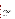- Provide an on-site operator(s) throughout the verification test period to install the monitors in the test vehicles and operate and maintain the monitors during testing
- Remove monitors and other related equipment from the test facility upon completion of the verification test
- Review and comment upon their respective draft verification reports and statements.

## **3.5.3 EPA**

EPA's responsibilities in the AMS Center are based on the requirements stated in the "Environmental Technology Verification Program Quality and Management Plan for the Pilot Period  $(1995-2000)$ <sup>"(3)</sup> or the most current update of this document. The roles of the specific EPA staff are as follows.

EPA's ETV Quality Manager shall

- Review the draft test/QA plan
- Perform, at his/her option, one external TSA during the verification test
- Notify the Battelle AMS Center Manager to facilitate a stop work order if an external audit indicates that data quality is being compromised
- Prepare and distribute an assessment report summarizing the results of an external audit, if performed
- Review draft verification reports and statements.

## EPA's AMS Center Manager shall

- Review the draft test/QA plan
- Approve the final test/ $QA$  plan
- Approve the final verification reports
- • Review the draft verification statements.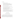The responsibilities of the test facility are to

- Assist in developing the test/QA plan for the verification test
- Allow facility access to vendor, Battelle, and EPA representatives during the scheduled verification test, including set-up and tear-down operations
- Select, secure, and operate vehicles for the dynamometer and road testing
- Perform all reference emissions measurements
- Provide all test data to Battelle electronically, in mutually agreed upon format
- Assist vendor in installing the OEMs in the test vehicles
- Perform dynamometer runs and associated vehicle preconditioning according to the procedures and schedule described in this test/QA plan
- Provide EPA and Battelle staff access to and /or copies of appropriate QA documentation of test equipment and procedures
- Assist in Battelle's reporting of the test facility's QA/quality control (QC) procedures
- Review portions of the verification report to assure accurate descriptions of the test facility operations and to provide technical insight on verification results
- Provide safety instructions to test and QA personnel for operations at the test facility.

## **4 TEST PROCEDURES**

#### **4.1 Vehicle Recruitment and Inspection**

Three gasoline-fueled vehicles shall be recruited and inspected by the test facility to ensure suitability for use in the verification test. The test vehicles should include currently popular models that are representative of the on-road fleet. The vehicles should be in good working condition; however, at least one should be a high exhaust emitter, based on the experience of the test facility. The recruited vehicles must have on-board diagnostic ports that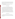are compatible with the OEMs being tested and should be capable of providing data sufficient to determine vehicle speed in miles per hour (mph), engine speed in revolutions per minute (rpm), and engine torque (or its surrogate). The identification number for each vehicle shall be recorded by Battelle staff in a laboratory record book (LRB), in addition to a general description of the vehicle (i.e., make, model, year, etc.).

The vehicles shall be inspected for fuel and exhaust leaks by the test facility prior to testing. Any required vehicle repairs are documented in the LRB.

#### **4.2 Monitor Installation**

The on-board emission monitors to be verified shall be installed by a vendor representative, who ensures that each monitor is calibrated and operating properly before testing begins on each day of testing. The duplicate OEMs are installed with appropriate plumbing to split the exhaust stream for analysis by the on-board emissions monitors and by the test facility. A leak check shall be performed before road testing and each series of dynamometer runs to ensure the integrity of the exhaust sampling assembly. Any observed leaks shall be repaired before testing begins. The vehicle battery shall be used to power one of the two OEMs, and a secondary supply (independent of the vehicle battery) shall be used to power the other OEM.

The installation activities (including on-site calibration, repairs, etc.) shall be documented by Battelle staff in the LRB. Observations regarding installation time and simplicity, ease of use, practicality, passenger safety, etc., in the verification report shall be based on the installation of a single unit.

#### **4.3 Dynamometer Testing**

 Dynamometer runs are performed according to the schedule shown in Table 2 and conducted with the vehicle accessories off, except where noted. The test facility shall document the run conditions, which are to be in accordance with 40 CFR Part 86. This documentation shall be provided to Battelle.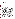| Day 1            | Day 2            | Day 3            | Day 4                              |
|------------------|------------------|------------------|------------------------------------|
| Vehicle 1 - FTP  | Vehicle 1 - FTP  | Vehicle 1 - FTP  | Vehicle 2 - US06 @ $30^{\circ}$ F  |
| Vehicle 1 - US06 | Vehicle 1 - US06 | Vehicle 1 - US06 | Vehicle 2 - US06 @ $75^{\circ}$ F  |
| Vehicle 2 - FTP  | Vehicle 2 - FTP  | Vehicle 2 - FTP  | Vehicle 2 - US06 @ $100^{\circ}$ F |
| Vehicle 2 - US06 | Vehicle 2 - US06 | Vehicle 2 - US06 | Vehicle 2 - US06 w/AC              |
| Vehicle 3 - FTP  | Vehicle 3 - FTP  | Vehicle 3 - FTP  |                                    |
| Vehicle 3 - US06 | Vehicle 3 - US06 | Vehicle 3 - US06 |                                    |

**Table 2. Schedule for Dynamometer Runs** 

Because this test is not designed to determine emission rates for the test vehicles, strict adherence to the soak and preconditioning procedures described in 40 CFR Part 86 is not necessary. However, conditions should be consistent for replicate runs of each test cycle. After the vehicle soak (12 to 36 hours), the test vehicle should be placed on the dynamometer and prepared for testing. An FTP cycle is performed with the intent of immediately performing a US06 cycle within 10 minutes of completing the FTP test. If the US06 cycle is not started within 10 minutes of completion of the previous cycle, the first 505 seconds of the FTP driving cycle is performed to condition the vehicle. Alternate FTP and US06 cycles are performed in sequence on the three vehicles on each of three test days. On the fourth day of testing, a series of three US06 test cycles should be performed, including one at each of the following temperatures:  $30^{\circ}$ F,  $75^{\circ}$ F, and  $100^{\circ}$ F. These tests are conducted using the vehicle with the mid-range emissions as established by the previous testing. After this sequence of temperature tests, an additional US06 cycle is performed at  $100^{\circ}$ F with the vehicle's air conditioner operating at maximum capacity.

For each driving cycle, the exhaust emissions and engine activity data are monitored by both the test facility reference methods and the duplicate OEMs. The test facility shall record and report the data on THC,  $CH_4$ , CO,  $CO_2$ , and  $NO_x$  emissions at the test, bag, and second-bysecond level. Similarly, the OEM records THC/NMHC, CO,  $CO_2$ , NO<sub>x</sub>, and oxygen  $(O_2)$  at the test, bag, and second-by-second level. Summaries of the second-by-second values are compared with the corresponding bag values to assess agreement for the reference measurements of  $CO<sub>2</sub>$ ,  $NO<sub>x</sub>$  and THC. Agreement between the two values should be within 5.0%, 10%, and 15%,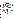US EPA ARCHIVE DOCUMENT

respectively. Tests not meeting these criteria should be reviewed as to their validity or impact on the verification results and repeated if possible and if necessary.

#### **4.4 Road Testing**

Each of the three test vehicles used in the dynamometer tests described above shall be driven on two separate routes over public roads while the duplicate OEMs record second-bysecond data for THC/NMHC, CO,  $CO_2$ ,  $O_2$ , and NO<sub>x</sub>. Engine data are recorded either by the OEMs being tested or by a laptop computer. Weather conditions and observations concerning traffic and vehicle operation are recorded in a LRB by the vehicle operator. The vehicles should begin the road testing with a full tank of suitable locally available gasoline and shall complete the two driving routes in succession (i.e., on the same trip). The routes to be driven should be such that they include the following conditions:

- a) at least 15 minutes of stop-and-go traffic through a central business district
- b) at least 15 minutes of sustained high-speed driving on a freeway.

Test routes should be consistent from vehicle to vehicle and from test to test (i.e., different OEM verification tests). An effort should be made to conduct testing under similar driving conditions (i.e., time of day, weather conditions) for the verification tests of different OEMs.

## **5 QUALITY ASSURANCE/QUALITY CONTROL**

## **5.1 Calibration**

The dynamometer and laboratory instrumentation to be used in this verification test shall be calibrated by the test facility according to the standard operating procedures and schedules in place at the test facility. These calibration specifications must meet or exceed those described in 40 CFR 86.<sup>2</sup> Documentation of these calibrations are provided to Battelle by the test facility prior to test initiation.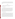If not required by the reference methods or by the standard operating procedures of the test facility, calibration verifications of specific instrumentation are performed at the request of Battelle during the verification test. The results of the calibration verifications shall be provided to Battelle.

#### **5.2 Audits**

Independent of test facility and EPA QA activities, Battelle is responsible for ensuring that the following audits are conducted as part of this verification test.

#### **5.2.1 Pre-Test Facility Audit**

At least two weeks prior to verification testing, the Verification Test Coordinator and/or the Battelle Quality Manager may conduct an audit of the test facility chosen to conduct the verification test. If performed, this audit is conducted to ensure that the test facility has the equipment necessary to perform the verification test and that a satisfactory QA/QC program is implemented at the test facility. The audit should include at least a tour of the dynamometer facilities and review of appropriate standard operating procedures and calibration records. If possible, the audit should also include observation of on-going dynamometer testing.

#### **5.2.2 Technical Systems Audits**

Battelle's Quality Manager shall perform a TSA at least once during the verification test. The purpose of this audit is to ensure that the verification test is being performed in accordance with the AMS Center  $QMP^{(1)}$ , this protocol, referenced methods, and any standard operating procedures used by the test facility. During this audit, the Battelle Quality Manager reviews the reference methods used, compares actual test procedures to those specified or referenced in this protocol, and reviews data acquisition and handling procedures. This effort includes reviewing the actual procedures used at the test facility for compliance with this test/QA plan and with the standard operating procedures for the test facility. A TSA report shall be prepared, including a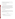statement of findings and the actions taken to address any adverse findings. The EPA ETV Quality Manager shall receive a copy of Battelle's TSA report.

At EPA's discretion, the EPA ETV Quality Manager also may conduct an independent TSA of the verification testing procedures.

#### **5.2.3 Performance Evaluation Audits**

A performance evaluation audit shall be conducted to assess the quality of the reference measurements made in the verification test. This audit should address only the emissions measurements provided by the reference methods. The audit is performed by analyzing a National Institute of Standards and Technology (NIST)-traceable calibration gas standard that is independent of those used by the test facility during the testing. The acceptance criteria for the results of this audit are identical to those already in place at the test facility for calibration verification. This audit is performed once during the verification test.

#### **5.2.4 Audits of Data Quality**

Battelle's Quality Manager shall audit at least 10% of the verification data acquired during the verification test. The Battelle Quality Manager traces the data from initial acquisition, through reduction and statistical comparisons, to final reporting. All calculations performed on the data undergoing the audit are checked.

#### **5.3 Reporting**

Each audit shall be documented in accordance with the AMS Center QMP.(1) Audit reports include the following:

- Identification of any adverse findings or potential problems
- Corrective actions that address adverse findings or potential problems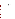- Confirmation by Battelle's Quality Manager that the corrective actions have been implemented and are effective
- Citation of any noteworthy practices that may be of use to others.

All audit reports are reviewed by the AMS Center Manager and Verification Testing Leader. A copy is sent to the EPA ETV Quality Manager and the EPA AMS Center Manager.

#### **5.4 Corrective Action**

The Battelle or EPA ETV Quality Manager, during the course of any audit, shall identify to the technical staff performing experimental activities any immediate corrective action that should be taken. If serious quality problems exist, the Battelle Quality Manager is authorized to stop work. Once the audit report has been prepared, the Verification Test Coordinator ensures that a response is provided for each adverse finding or potential problem and implements any necessary follow-up corrective action. The Battelle Quality Manager shall ensure that follow-up corrective action has been taken.

## **6 DATA HANDLING AND REPORTING**

#### **6.1 Data Review**

Data generated by the test facility and vendors in the verification test shall be provided to Battelle and are reviewed by the Verification Test Coordinator before they are used to calculate, evaluate, or report verification results. These data include electronic data, entries in laboratory record books, operating data from the test facility, and equipment calibration records. The review is documented by the person performing the review by adding his/her initials and date to a hard copy of the record being reviewed. This hard copy is placed in the files of this verification test by the Verification Test Coordinator.

In addition, data calculations performed by Battelle shall be spot-checked by Battelle technical staff to ensure that calculations are performed correctly. Calculations to be checked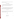include determination of accuracy, intra-method precision, and other statistical calculations as identified in Section 6.2 of this protocol.

#### **6.2 Statistical Calculations**

Performance verification is based, in part, on statistical comparisons of the average concentration results or g/mi results from the on-board emission monitor to results from the reference methods. A summary of the calculations to be made is given below.

#### **6.2.1 Bias**

The bias of each of the duplicate OEMs is assessed at the test level based on the percent difference between the average concentration measurements or the g/mi emission rates from the OEM relative to the reference method. For each individual dynamometer run, the percent difference, *di* , between the OEM and the reference method results is calculated as

$$
d_i = \frac{Y_i - X_i}{X_i} \times 100\tag{1}
$$

where  $Y_i$  represents the test level results from the OEM, and  $X_i$  represents the test level results of the reference method for a given analyte. The average, *D*, and standard deviation, *s*, of these individual bias results is calculated from

$$
D = \frac{\sum_{i=1}^{n} d_i}{n}
$$
 (2)

and,

$$
s = \sqrt{\frac{\left(\sum_{i=1}^{n} d_i^2\right) - \left(nD^2\right)}{n-1}}
$$
\n(3)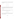US EPA ARCHIVE DOCUMENT

where *n* is the total number of dynamometer runs. The standard deviation and average difference are used to calculate the upper, *UL*, and lower, *LL*, 95% confidence limits for the bias of each monitor according to:

$$
UL = D + t_{0.975}(s)
$$
 (4)

and

$$
LL = D - t_{0.975}(s)
$$
 (5)

where  $t_{0.975}$  is the 0.975 quantile of the Student's t distribution with n-1 degrees of freedom. Bias is calculated independently for each of the duplicate monitors and each analyte. Additionally, bias is calculated independently for each vehicle and for each test cycle (i.e., FTP, US06).

#### **6.2.2 Precision**

Intra-method precision is calculated based on the percent difference in the readings of the duplicate monitors relative to the mean of the readings, as shown below:

$$
d_i = \frac{Y_i - Y_i}{(Y_i + Y_i)/2} \times 100
$$
 (6)

where  $Y_i$  and  $Y'_i$  are the test level results for a given analyte from the two duplicate monitors for each test cycle *i*. The coefficient of variation,  $CV_i$ , for each dynamometer run and vehicle is calculated according to Equation (7).

$$
CV_i = \left| \frac{d_i}{\sqrt{2}} \right| \tag{7}
$$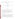The individual coefficients of variation for all test cycles and vehicles are pooled according to Equation (8) to determine the overall precision of the monitors.

$$
CV = \sqrt{\frac{\sum_{i=1}^{n} (CV_i)^2}{n}}
$$
 (8)

The upper, *UL*, and lower, *LL*, 90% confidence limits for the monitor's CV are given by

$$
LL = CV \sqrt{\frac{n}{\chi^2_{0.95,n}}}
$$
 (9)

and

$$
UL = CV \sqrt{\frac{n}{\chi^2_{0.05,n}}} \tag{10}
$$

where *n* is the number of degrees of freedom, and  $\chi^2_{0.95,n}$  and  $\chi^2_{0.05,n}$  are the 0.95 and 0.05

quantiles, respectively, of the  $\chi^2$  distribution with *n* degrees of freedom. Precision is assessed independently for each analyte, as well as for each vehicle and each test cycle.

Supplemental comparisons are made at the second-by-second level to determine the instantaneous unit-to-unit reproducibility of the duplicate monitors. As with the test level results, these comparisons are made based on a percent difference calculation.

#### **6.2.3 Other Comparisons**

Second-by-second data from the OBD port and the OEM shall be compared graphically to illustrate temporal correlations between the vehicle operational parameters and the measured components in the vehicle exhaust. Likewise, second-by-second data from the reference analyzers are compared visually against those from the OEM to illustrate temporal correlations. No statistical evaluations are made of these second-by-second comparisons owing to likely differences in the lag times and response times between the reference analyzers and the OEMs.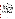For the on-road tests, second-by-second comparisons are made between the results of the duplicate monitors.

#### **6.3 Reporting**

The statistical comparisons that result from each of the tests described above shall be conducted separately for each of the two units of each technology being verified, and information on the additional performance parameters are compiled and reported. Separate verification reports are then prepared, each addressing a technology provided by one commercial vendor. Each report shows separate verification results from the two units undergoing testing, along with calculations of the unit-to-unit reproducibility of the technology. For each test conducted in the verification, the verification report presents the test procedures and test data, as well as the results of the statistical evaluation of those data.

The verification report shall briefly describe the ETV program, the AMS Center, and the procedures used in verification testing. These sections will be common to each verification report resulting from this verification test. The results of the verification test shall then be stated quantitatively, without comparison to any other technology tested or comment on the acceptability of the technology's performance. The preparation of draft verification reports, review of reports by vendors and others, revision of the reports, final approval, and distribution of the reports shall be conducted as stated in the "Generic Verification Protocol for the Advanced Monitoring Systems Pilot."<sup>(4)</sup> Preparation, approval, and use of verification statements summarizing the results of this test also are subject to the requirements of that same protocol.

### **7 HEALTH AND SAFETY**

The test facility shall provide appropriate safety instructions regarding potential hazards during the verification testing to Battelle and vendor staff. The OEMs shall be installed and operated so that the OEM operators or the drivers of the vehicles are not endangered, nor is the